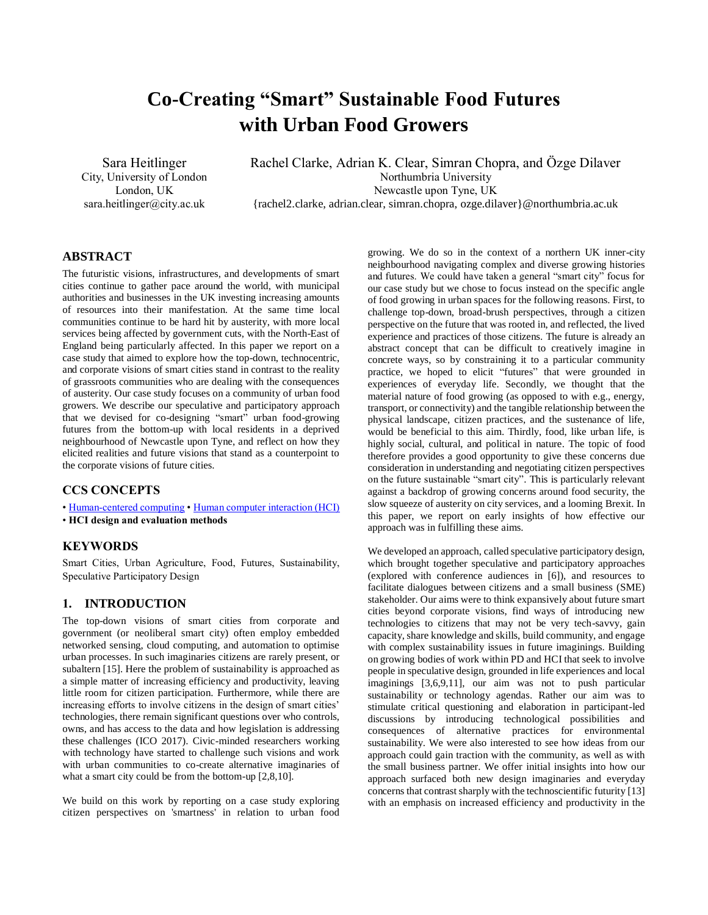# **Co-Creating "Smart" Sustainable Food Futures with Urban Food Growers**

Sara Heitlinger City, University of London London, UK sara.heitlinger@city.ac.uk

Rachel Clarke, Adrian K. Clear, Simran Chopra, and Özge Dilaver Northumbria University Newcastle upon Tyne, UK

{rachel2.clarke, adrian.clear, simran.chopra, ozge.dilaver}@northumbria.ac.uk

# **ABSTRACT**

The futuristic visions, infrastructures, and developments of smart cities continue to gather pace around the world, with municipal authorities and businesses in the UK investing increasing amounts of resources into their manifestation. At the same time local communities continue to be hard hit by austerity, with more local services being affected by government cuts, with the North-East of England being particularly affected. In this paper we report on a case study that aimed to explore how the top-down, technocentric, and corporate visions of smart cities stand in contrast to the reality of grassroots communities who are dealing with the consequences of austerity. Our case study focuses on a community of urban food growers. We describe our speculative and participatory approach that we devised for co-designing "smart" urban food-growing futures from the bottom-up with local residents in a deprived neighbourhood of Newcastle upon Tyne, and reflect on how they elicited realities and future visions that stand as a counterpoint to the corporate visions of future cities.

#### **CCS CONCEPTS**

• [Human-centered computing](https://dl.acm.org/ccs/ccs.cfm?id=10003120&lid=0.10003120) • [Human computer interaction \(HCI\)](https://dl.acm.org/ccs/ccs.cfm?id=10003121&lid=0.10003120.10003121)

• **HCI design and evaluation methods**

# **KEYWORDS**

Smart Cities, Urban Agriculture, Food, Futures, Sustainability, Speculative Participatory Design

# **1. INTRODUCTION**

The top-down visions of smart cities from corporate and government (or neoliberal smart city) often employ embedded networked sensing, cloud computing, and automation to optimise urban processes. In such imaginaries citizens are rarely present, or subaltern [15]. Here the problem of sustainability is approached as a simple matter of increasing efficiency and productivity, leaving little room for citizen participation. Furthermore, while there are increasing efforts to involve citizens in the design of smart cities' technologies, there remain significant questions over who controls, owns, and has access to the data and how legislation is addressing these challenges (ICO 2017). Civic-minded researchers working with technology have started to challenge such visions and work with urban communities to co-create alternative imaginaries of what a smart city could be from the bottom-up [2,8,10].

We build on this work by reporting on a case study exploring citizen perspectives on 'smartness' in relation to urban food

growing. We do so in the context of a northern UK inner-city neighbourhood navigating complex and diverse growing histories and futures. We could have taken a general "smart city" focus for our case study but we chose to focus instead on the specific angle of food growing in urban spaces for the following reasons. First, to challenge top-down, broad-brush perspectives, through a citizen perspective on the future that was rooted in, and reflected, the lived experience and practices of those citizens. The future is already an abstract concept that can be difficult to creatively imagine in concrete ways, so by constraining it to a particular community practice, we hoped to elicit "futures" that were grounded in experiences of everyday life. Secondly, we thought that the material nature of food growing (as opposed to with e.g., energy, transport, or connectivity) and the tangible relationship between the physical landscape, citizen practices, and the sustenance of life, would be beneficial to this aim. Thirdly, food, like urban life, is highly social, cultural, and political in nature. The topic of food therefore provides a good opportunity to give these concerns due consideration in understanding and negotiating citizen perspectives on the future sustainable "smart city". This is particularly relevant against a backdrop of growing concerns around food security, the slow squeeze of austerity on city services, and a looming Brexit. In this paper, we report on early insights of how effective our approach was in fulfilling these aims.

We developed an approach, called speculative participatory design, which brought together speculative and participatory approaches (explored with conference audiences in [6]), and resources to facilitate dialogues between citizens and a small business (SME) stakeholder. Our aims were to think expansively about future smart cities beyond corporate visions, find ways of introducing new technologies to citizens that may not be very tech-savvy, gain capacity, share knowledge and skills, build community, and engage with complex sustainability issues in future imaginings. Building on growing bodies of work within PD and HCI that seek to involve people in speculative design, grounded in life experiences and local imaginings [3,6,9,11], our aim was not to push particular sustainability or technology agendas. Rather our aim was to stimulate critical questioning and elaboration in participant-led discussions by introducing technological possibilities and consequences of alternative practices for environmental sustainability. We were also interested to see how ideas from our approach could gain traction with the community, as well as with the small business partner. We offer initial insights into how our approach surfaced both new design imaginaries and everyday concerns that contrast sharply with the technoscientific futurity [13] with an emphasis on increased efficiency and productivity in the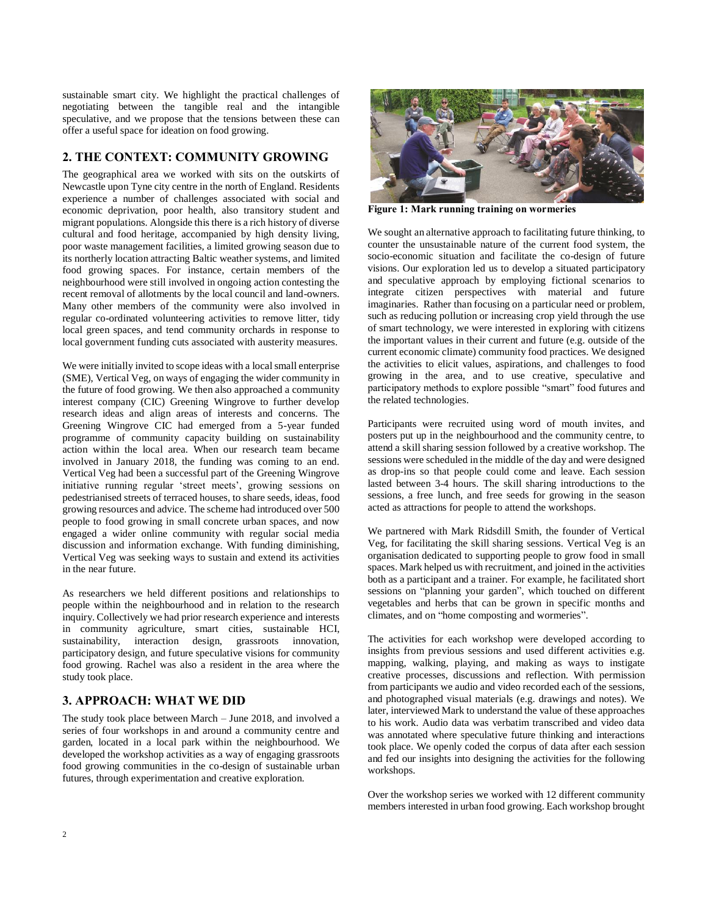sustainable smart city. We highlight the practical challenges of negotiating between the tangible real and the intangible speculative, and we propose that the tensions between these can offer a useful space for ideation on food growing.

# **2. THE CONTEXT: COMMUNITY GROWING**

The geographical area we worked with sits on the outskirts of Newcastle upon Tyne city centre in the north of England. Residents experience a number of challenges associated with social and economic deprivation, poor health, also transitory student and migrant populations. Alongside this there is a rich history of diverse cultural and food heritage, accompanied by high density living, poor waste management facilities, a limited growing season due to its northerly location attracting Baltic weather systems, and limited food growing spaces. For instance, certain members of the neighbourhood were still involved in ongoing action contesting the recent removal of allotments by the local council and land-owners. Many other members of the community were also involved in regular co-ordinated volunteering activities to remove litter, tidy local green spaces, and tend community orchards in response to local government funding cuts associated with austerity measures.

We were initially invited to scope ideas with a local small enterprise (SME), Vertical Veg, on ways of engaging the wider community in the future of food growing. We then also approached a community interest company (CIC) Greening Wingrove to further develop research ideas and align areas of interests and concerns. The Greening Wingrove CIC had emerged from a 5-year funded programme of community capacity building on sustainability action within the local area. When our research team became involved in January 2018, the funding was coming to an end. Vertical Veg had been a successful part of the Greening Wingrove initiative running regular 'street meets', growing sessions on pedestrianised streets of terraced houses, to share seeds, ideas, food growing resources and advice. The scheme had introduced over 500 people to food growing in small concrete urban spaces, and now engaged a wider online community with regular social media discussion and information exchange. With funding diminishing, Vertical Veg was seeking ways to sustain and extend its activities in the near future.

As researchers we held different positions and relationships to people within the neighbourhood and in relation to the research inquiry. Collectively we had prior research experience and interests in community agriculture, smart cities, sustainable HCI, sustainability, interaction design, grassroots innovation, participatory design, and future speculative visions for community food growing. Rachel was also a resident in the area where the study took place.

# **3. APPROACH: WHAT WE DID**

The study took place between March – June 2018, and involved a series of four workshops in and around a community centre and garden, located in a local park within the neighbourhood. We developed the workshop activities as a way of engaging grassroots food growing communities in the co-design of sustainable urban futures, through experimentation and creative exploration.



**Figure 1: Mark running training on wormeries**

We sought an alternative approach to facilitating future thinking, to counter the unsustainable nature of the current food system, the socio-economic situation and facilitate the co-design of future visions. Our exploration led us to develop a situated participatory and speculative approach by employing fictional scenarios to integrate citizen perspectives with material and future imaginaries. Rather than focusing on a particular need or problem, such as reducing pollution or increasing crop yield through the use of smart technology, we were interested in exploring with citizens the important values in their current and future (e.g. outside of the current economic climate) community food practices. We designed the activities to elicit values, aspirations, and challenges to food growing in the area, and to use creative, speculative and participatory methods to explore possible "smart" food futures and the related technologies.

Participants were recruited using word of mouth invites, and posters put up in the neighbourhood and the community centre, to attend a skill sharing session followed by a creative workshop. The sessions were scheduled in the middle of the day and were designed as drop-ins so that people could come and leave. Each session lasted between 3-4 hours. The skill sharing introductions to the sessions, a free lunch, and free seeds for growing in the season acted as attractions for people to attend the workshops.

We partnered with Mark Ridsdill Smith, the founder of Vertical Veg, for facilitating the skill sharing sessions. Vertical Veg is an organisation dedicated to supporting people to grow food in small spaces. Mark helped us with recruitment, and joined in the activities both as a participant and a trainer. For example, he facilitated short sessions on "planning your garden", which touched on different vegetables and herbs that can be grown in specific months and climates, and on "home composting and wormeries".

The activities for each workshop were developed according to insights from previous sessions and used different activities e.g. mapping, walking, playing, and making as ways to instigate creative processes, discussions and reflection. With permission from participants we audio and video recorded each of the sessions, and photographed visual materials (e.g. drawings and notes). We later, interviewed Mark to understand the value of these approaches to his work. Audio data was verbatim transcribed and video data was annotated where speculative future thinking and interactions took place. We openly coded the corpus of data after each session and fed our insights into designing the activities for the following workshops.

Over the workshop series we worked with 12 different community members interested in urban food growing. Each workshop brought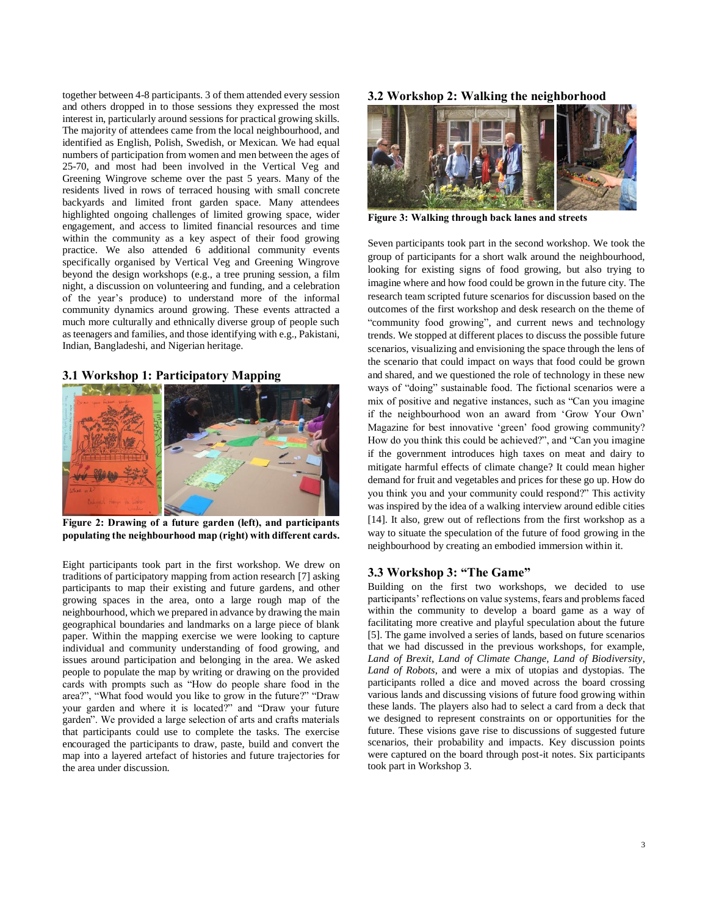together between 4-8 participants. 3 of them attended every session and others dropped in to those sessions they expressed the most interest in, particularly around sessions for practical growing skills. The majority of attendees came from the local neighbourhood, and identified as English, Polish, Swedish, or Mexican. We had equal numbers of participation from women and men between the ages of 25-70, and most had been involved in the Vertical Veg and Greening Wingrove scheme over the past 5 years. Many of the residents lived in rows of terraced housing with small concrete backyards and limited front garden space. Many attendees highlighted ongoing challenges of limited growing space, wider engagement, and access to limited financial resources and time within the community as a key aspect of their food growing practice. We also attended 6 additional community events specifically organised by Vertical Veg and Greening Wingrove beyond the design workshops (e.g., a tree pruning session, a film night, a discussion on volunteering and funding, and a celebration of the year's produce) to understand more of the informal community dynamics around growing. These events attracted a much more culturally and ethnically diverse group of people such as teenagers and families, and those identifying with e.g., Pakistani, Indian, Bangladeshi, and Nigerian heritage.

## **3.1 Workshop 1: Participatory Mapping**



**Figure 2: Drawing of a future garden (left), and participants populating the neighbourhood map (right) with different cards.**

Eight participants took part in the first workshop. We drew on traditions of participatory mapping from action research [7] asking participants to map their existing and future gardens, and other growing spaces in the area, onto a large rough map of the neighbourhood, which we prepared in advance by drawing the main geographical boundaries and landmarks on a large piece of blank paper. Within the mapping exercise we were looking to capture individual and community understanding of food growing, and issues around participation and belonging in the area. We asked people to populate the map by writing or drawing on the provided cards with prompts such as "How do people share food in the area?", "What food would you like to grow in the future?" "Draw your garden and where it is located?" and "Draw your future garden". We provided a large selection of arts and crafts materials that participants could use to complete the tasks. The exercise encouraged the participants to draw, paste, build and convert the map into a layered artefact of histories and future trajectories for the area under discussion.

#### **3.2 Workshop 2: Walking the neighborhood**



**Figure 3: Walking through back lanes and streets**

Seven participants took part in the second workshop. We took the group of participants for a short walk around the neighbourhood, looking for existing signs of food growing, but also trying to imagine where and how food could be grown in the future city. The research team scripted future scenarios for discussion based on the outcomes of the first workshop and desk research on the theme of "community food growing", and current news and technology trends. We stopped at different places to discuss the possible future scenarios, visualizing and envisioning the space through the lens of the scenario that could impact on ways that food could be grown and shared, and we questioned the role of technology in these new ways of "doing" sustainable food. The fictional scenarios were a mix of positive and negative instances, such as "Can you imagine if the neighbourhood won an award from 'Grow Your Own' Magazine for best innovative 'green' food growing community? How do you think this could be achieved?", and "Can you imagine if the government introduces high taxes on meat and dairy to mitigate harmful effects of climate change? It could mean higher demand for fruit and vegetables and prices for these go up. How do you think you and your community could respond?" This activity was inspired by the idea of a walking interview around edible cities [14]. It also, grew out of reflections from the first workshop as a way to situate the speculation of the future of food growing in the neighbourhood by creating an embodied immersion within it.

## **3.3 Workshop 3: "The Game"**

Building on the first two workshops, we decided to use participants' reflections on value systems, fears and problems faced within the community to develop a board game as a way of facilitating more creative and playful speculation about the future [5]. The game involved a series of lands, based on future scenarios that we had discussed in the previous workshops, for example, *Land of Brexit, Land of Climate Change, Land of Biodiversity*, *Land of Robots*, and were a mix of utopias and dystopias. The participants rolled a dice and moved across the board crossing various lands and discussing visions of future food growing within these lands. The players also had to select a card from a deck that we designed to represent constraints on or opportunities for the future. These visions gave rise to discussions of suggested future scenarios, their probability and impacts. Key discussion points were captured on the board through post-it notes. Six participants took part in Workshop 3.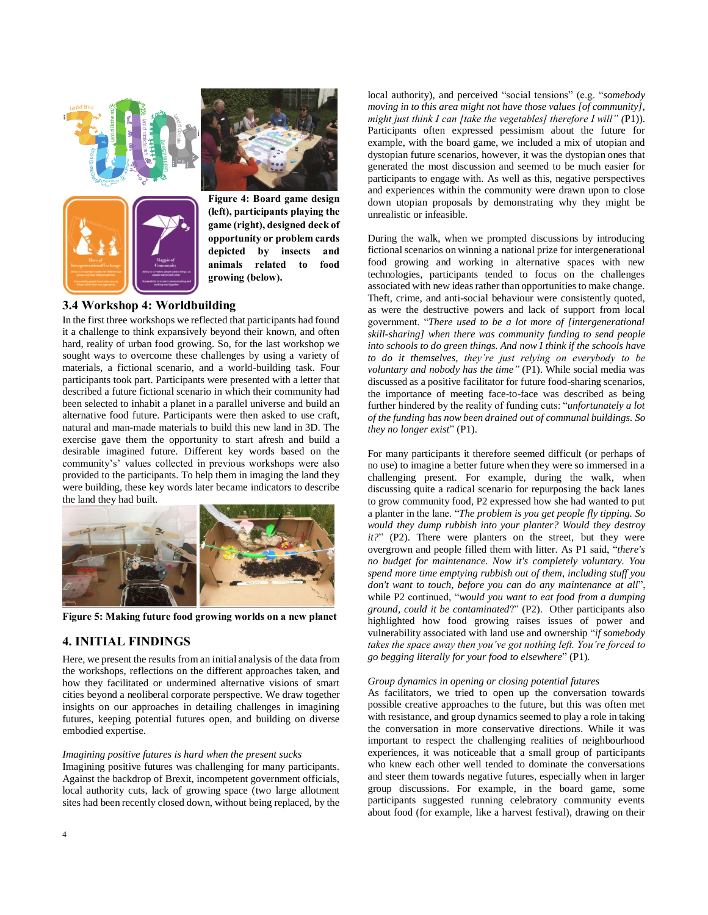





## **3.4 Workshop 4: Worldbuilding**

In the first three workshops we reflected that participants had found it a challenge to think expansively beyond their known, and often hard, reality of urban food growing. So, for the last workshop we sought ways to overcome these challenges by using a variety of materials, a fictional scenario, and a world-building task. Four participants took part. Participants were presented with a letter that described a future fictional scenario in which their community had been selected to inhabit a planet in a parallel universe and build an alternative food future. Participants were then asked to use craft, natural and man-made materials to build this new land in 3D. The exercise gave them the opportunity to start afresh and build a desirable imagined future. Different key words based on the community's' values collected in previous workshops were also provided to the participants. To help them in imaging the land they were building, these key words later became indicators to describe the land they had built.



**Figure 5: Making future food growing worlds on a new planet** 

# **4. INITIAL FINDINGS**

Here, we present the results from an initial analysis of the data from the workshops, reflections on the different approaches taken, and how they facilitated or undermined alternative visions of smart cities beyond a neoliberal corporate perspective. We draw together insights on our approaches in detailing challenges in imagining futures, keeping potential futures open, and building on diverse embodied expertise.

#### *Imagining positive futures is hard when the present sucks*

Imagining positive futures was challenging for many participants. Against the backdrop of Brexit, incompetent government officials, local authority cuts, lack of growing space (two large allotment sites had been recently closed down, without being replaced, by the

local authority), and perceived "social tensions" (e.g. "*somebody moving in to this area might not have those values [of community], might just think I can [take the vegetables] therefore I will" (*P1)). Participants often expressed pessimism about the future for example, with the board game, we included a mix of utopian and dystopian future scenarios, however, it was the dystopian ones that generated the most discussion and seemed to be much easier for participants to engage with. As well as this, negative perspectives and experiences within the community were drawn upon to close down utopian proposals by demonstrating why they might be unrealistic or infeasible.

During the walk, when we prompted discussions by introducing fictional scenarios on winning a national prize for intergenerational food growing and working in alternative spaces with new technologies, participants tended to focus on the challenges associated with new ideas rather than opportunities to make change. Theft, crime, and anti-social behaviour were consistently quoted, as were the destructive powers and lack of support from local government. "*There used to be a lot more of [intergenerational skill-sharing] when there was community funding to send people into schools to do green things. And now I think if the schools have to do it themselves, they're just relying on everybody to be voluntary and nobody has the time"* (P1). While social media was discussed as a positive facilitator for future food-sharing scenarios, the importance of meeting face-to-face was described as being further hindered by the reality of funding cuts: "*unfortunately a lot of the funding has now been drained out of communal buildings. So they no longer exist*" (P1).

For many participants it therefore seemed difficult (or perhaps of no use) to imagine a better future when they were so immersed in a challenging present. For example, during the walk, when discussing quite a radical scenario for repurposing the back lanes to grow community food, P2 expressed how she had wanted to put a planter in the lane. "*The problem is you get people fly tipping. So would they dump rubbish into your planter? Would they destroy it?*" (P2). There were planters on the street, but they were overgrown and people filled them with litter. As P1 said, "*there's no budget for maintenance. Now it's completely voluntary. You spend more time emptying rubbish out of them, including stuff you don't want to touch, before you can do any maintenance at all*", while P2 continued, "*would you want to eat food from a dumping ground, could it be contaminated*?" (P2). Other participants also highlighted how food growing raises issues of power and vulnerability associated with land use and ownership "*if somebody takes the space away then you've got nothing left. You're forced to go begging literally for your food to elsewhere*" (P1).

#### *Group dynamics in opening or closing potential futures*

As facilitators, we tried to open up the conversation towards possible creative approaches to the future, but this was often met with resistance, and group dynamics seemed to play a role in taking the conversation in more conservative directions. While it was important to respect the challenging realities of neighbourhood experiences, it was noticeable that a small group of participants who knew each other well tended to dominate the conversations and steer them towards negative futures, especially when in larger group discussions. For example, in the board game, some participants suggested running celebratory community events about food (for example, like a harvest festival), drawing on their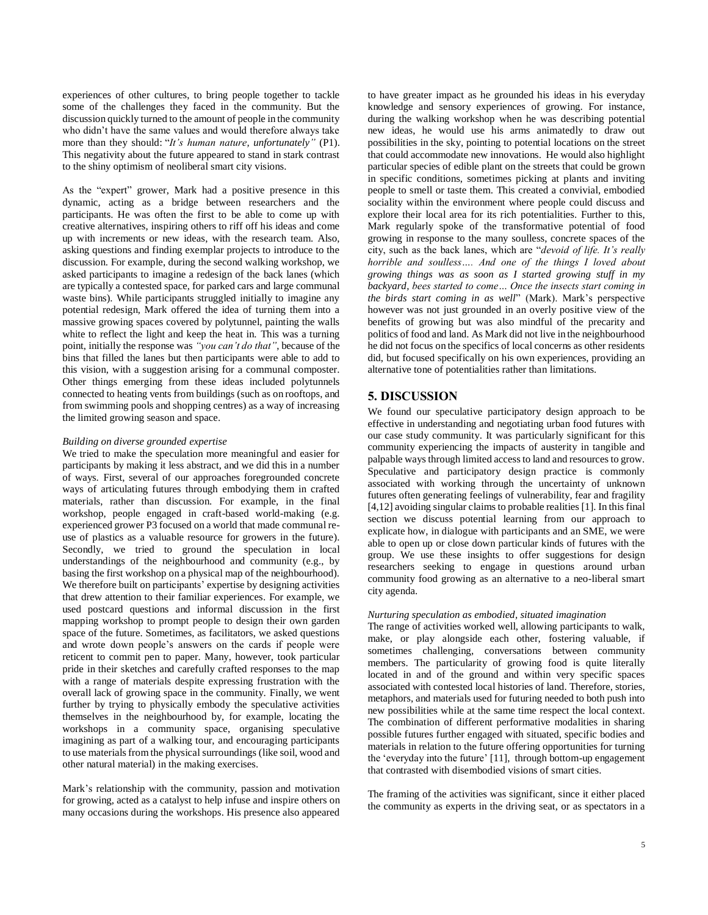experiences of other cultures, to bring people together to tackle some of the challenges they faced in the community. But the discussion quickly turned to the amount of people in the community who didn't have the same values and would therefore always take more than they should: "*It's human nature, unfortunately"* (P1). This negativity about the future appeared to stand in stark contrast to the shiny optimism of neoliberal smart city visions.

As the "expert" grower, Mark had a positive presence in this dynamic, acting as a bridge between researchers and the participants. He was often the first to be able to come up with creative alternatives, inspiring others to riff off his ideas and come up with increments or new ideas, with the research team. Also, asking questions and finding exemplar projects to introduce to the discussion. For example, during the second walking workshop, we asked participants to imagine a redesign of the back lanes (which are typically a contested space, for parked cars and large communal waste bins). While participants struggled initially to imagine any potential redesign, Mark offered the idea of turning them into a massive growing spaces covered by polytunnel, painting the walls white to reflect the light and keep the heat in. This was a turning point, initially the response was *"you can't do that"*, because of the bins that filled the lanes but then participants were able to add to this vision, with a suggestion arising for a communal composter. Other things emerging from these ideas included polytunnels connected to heating vents from buildings (such as on rooftops, and from swimming pools and shopping centres) as a way of increasing the limited growing season and space.

#### *Building on diverse grounded expertise*

We tried to make the speculation more meaningful and easier for participants by making it less abstract, and we did this in a number of ways. First, several of our approaches foregrounded concrete ways of articulating futures through embodying them in crafted materials, rather than discussion. For example, in the final workshop, people engaged in craft-based world-making (e.g. experienced grower P3 focused on a world that made communal reuse of plastics as a valuable resource for growers in the future). Secondly, we tried to ground the speculation in local understandings of the neighbourhood and community (e.g., by basing the first workshop on a physical map of the neighbourhood). We therefore built on participants' expertise by designing activities that drew attention to their familiar experiences. For example, we used postcard questions and informal discussion in the first mapping workshop to prompt people to design their own garden space of the future. Sometimes, as facilitators, we asked questions and wrote down people's answers on the cards if people were reticent to commit pen to paper. Many, however, took particular pride in their sketches and carefully crafted responses to the map with a range of materials despite expressing frustration with the overall lack of growing space in the community. Finally, we went further by trying to physically embody the speculative activities themselves in the neighbourhood by, for example, locating the workshops in a community space, organising speculative imagining as part of a walking tour, and encouraging participants to use materials from the physical surroundings (like soil, wood and other natural material) in the making exercises.

Mark's relationship with the community, passion and motivation for growing, acted as a catalyst to help infuse and inspire others on many occasions during the workshops. His presence also appeared

to have greater impact as he grounded his ideas in his everyday knowledge and sensory experiences of growing. For instance, during the walking workshop when he was describing potential new ideas, he would use his arms animatedly to draw out possibilities in the sky, pointing to potential locations on the street that could accommodate new innovations. He would also highlight particular species of edible plant on the streets that could be grown in specific conditions, sometimes picking at plants and inviting people to smell or taste them. This created a convivial, embodied sociality within the environment where people could discuss and explore their local area for its rich potentialities. Further to this, Mark regularly spoke of the transformative potential of food growing in response to the many soulless, concrete spaces of the city, such as the back lanes, which are "*devoid of life. It's really horrible and soulless…. And one of the things I loved about growing things was as soon as I started growing stuff in my backyard, bees started to come… Once the insects start coming in the birds start coming in as well*" (Mark). Mark's perspective however was not just grounded in an overly positive view of the benefits of growing but was also mindful of the precarity and politics of food and land. As Mark did not live in the neighbourhood he did not focus on the specifics of local concerns as other residents did, but focused specifically on his own experiences, providing an alternative tone of potentialities rather than limitations.

#### **5. DISCUSSION**

We found our speculative participatory design approach to be effective in understanding and negotiating urban food futures with our case study community. It was particularly significant for this community experiencing the impacts of austerity in tangible and palpable ways through limited access to land and resources to grow. Speculative and participatory design practice is commonly associated with working through the uncertainty of unknown futures often generating feelings of vulnerability, fear and fragility [4,12] avoiding singular claims to probable realities [1]. In this final section we discuss potential learning from our approach to explicate how, in dialogue with participants and an SME, we were able to open up or close down particular kinds of futures with the group. We use these insights to offer suggestions for design researchers seeking to engage in questions around urban community food growing as an alternative to a neo-liberal smart city agenda.

#### *Nurturing speculation as embodied, situated imagination*

The range of activities worked well, allowing participants to walk, make, or play alongside each other, fostering valuable, if sometimes challenging, conversations between community members. The particularity of growing food is quite literally located in and of the ground and within very specific spaces associated with contested local histories of land. Therefore, stories, metaphors, and materials used for futuring needed to both push into new possibilities while at the same time respect the local context. The combination of different performative modalities in sharing possible futures further engaged with situated, specific bodies and materials in relation to the future offering opportunities for turning the 'everyday into the future' [11], through bottom-up engagement that contrasted with disembodied visions of smart cities.

The framing of the activities was significant, since it either placed the community as experts in the driving seat, or as spectators in a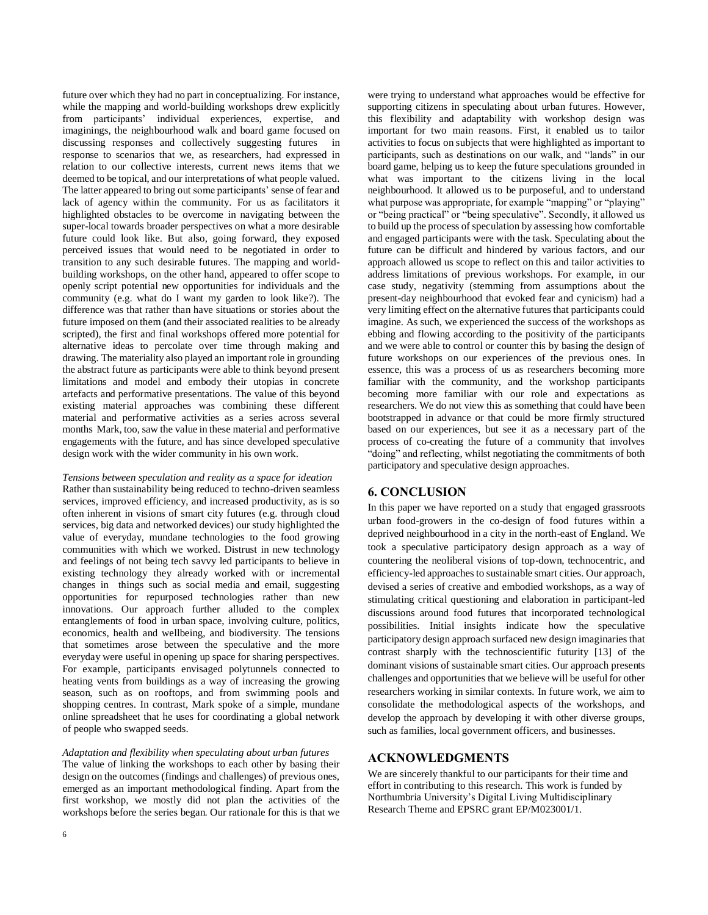future over which they had no part in conceptualizing. For instance, while the mapping and world-building workshops drew explicitly from participants' individual experiences, expertise, and imaginings, the neighbourhood walk and board game focused on discussing responses and collectively suggesting futures in response to scenarios that we, as researchers, had expressed in relation to our collective interests, current news items that we deemed to be topical, and our interpretations of what people valued. The latter appeared to bring out some participants' sense of fear and lack of agency within the community. For us as facilitators it highlighted obstacles to be overcome in navigating between the super-local towards broader perspectives on what a more desirable future could look like. But also, going forward, they exposed perceived issues that would need to be negotiated in order to transition to any such desirable futures. The mapping and worldbuilding workshops, on the other hand, appeared to offer scope to openly script potential new opportunities for individuals and the community (e.g. what do I want my garden to look like?). The difference was that rather than have situations or stories about the future imposed on them (and their associated realities to be already scripted), the first and final workshops offered more potential for alternative ideas to percolate over time through making and drawing. The materiality also played an important role in grounding the abstract future as participants were able to think beyond present limitations and model and embody their utopias in concrete artefacts and performative presentations. The value of this beyond existing material approaches was combining these different material and performative activities as a series across several months Mark, too, saw the value in these material and performative engagements with the future, and has since developed speculative design work with the wider community in his own work.

#### *Tensions between speculation and reality as a space for ideation*

Rather than sustainability being reduced to techno-driven seamless services, improved efficiency, and increased productivity, as is so often inherent in visions of smart city futures (e.g. through cloud services, big data and networked devices) our study highlighted the value of everyday, mundane technologies to the food growing communities with which we worked. Distrust in new technology and feelings of not being tech savvy led participants to believe in existing technology they already worked with or incremental changes in things such as social media and email, suggesting opportunities for repurposed technologies rather than new innovations. Our approach further alluded to the complex entanglements of food in urban space, involving culture, politics, economics, health and wellbeing, and biodiversity. The tensions that sometimes arose between the speculative and the more everyday were useful in opening up space for sharing perspectives. For example, participants envisaged polytunnels connected to heating vents from buildings as a way of increasing the growing season, such as on rooftops, and from swimming pools and shopping centres. In contrast, Mark spoke of a simple, mundane online spreadsheet that he uses for coordinating a global network of people who swapped seeds.

#### *Adaptation and flexibility when speculating about urban futures*

The value of linking the workshops to each other by basing their design on the outcomes (findings and challenges) of previous ones, emerged as an important methodological finding. Apart from the first workshop, we mostly did not plan the activities of the workshops before the series began. Our rationale for this is that we

were trying to understand what approaches would be effective for supporting citizens in speculating about urban futures. However, this flexibility and adaptability with workshop design was important for two main reasons. First, it enabled us to tailor activities to focus on subjects that were highlighted as important to participants, such as destinations on our walk, and "lands" in our board game, helping us to keep the future speculations grounded in what was important to the citizens living in the local neighbourhood. It allowed us to be purposeful, and to understand what purpose was appropriate, for example "mapping" or "playing" or "being practical" or "being speculative". Secondly, it allowed us to build up the process of speculation by assessing how comfortable and engaged participants were with the task. Speculating about the future can be difficult and hindered by various factors, and our approach allowed us scope to reflect on this and tailor activities to address limitations of previous workshops. For example, in our case study, negativity (stemming from assumptions about the present-day neighbourhood that evoked fear and cynicism) had a very limiting effect on the alternative futures that participants could imagine. As such, we experienced the success of the workshops as ebbing and flowing according to the positivity of the participants and we were able to control or counter this by basing the design of future workshops on our experiences of the previous ones. In essence, this was a process of us as researchers becoming more familiar with the community, and the workshop participants becoming more familiar with our role and expectations as researchers. We do not view this as something that could have been bootstrapped in advance or that could be more firmly structured based on our experiences, but see it as a necessary part of the process of co-creating the future of a community that involves "doing" and reflecting, whilst negotiating the commitments of both participatory and speculative design approaches.

## **6. CONCLUSION**

In this paper we have reported on a study that engaged grassroots urban food-growers in the co-design of food futures within a deprived neighbourhood in a city in the north-east of England. We took a speculative participatory design approach as a way of countering the neoliberal visions of top-down, technocentric, and efficiency-led approaches to sustainable smart cities. Our approach, devised a series of creative and embodied workshops, as a way of stimulating critical questioning and elaboration in participant-led discussions around food futures that incorporated technological possibilities. Initial insights indicate how the speculative participatory design approach surfaced new design imaginaries that contrast sharply with the technoscientific futurity [13] of the dominant visions of sustainable smart cities. Our approach presents challenges and opportunities that we believe will be useful for other researchers working in similar contexts. In future work, we aim to consolidate the methodological aspects of the workshops, and develop the approach by developing it with other diverse groups, such as families, local government officers, and businesses.

## **ACKNOWLEDGMENTS**

We are sincerely thankful to our participants for their time and effort in contributing to this research. This work is funded by Northumbria University's Digital Living Multidisciplinary Research Theme and EPSRC grant EP/M023001/1.